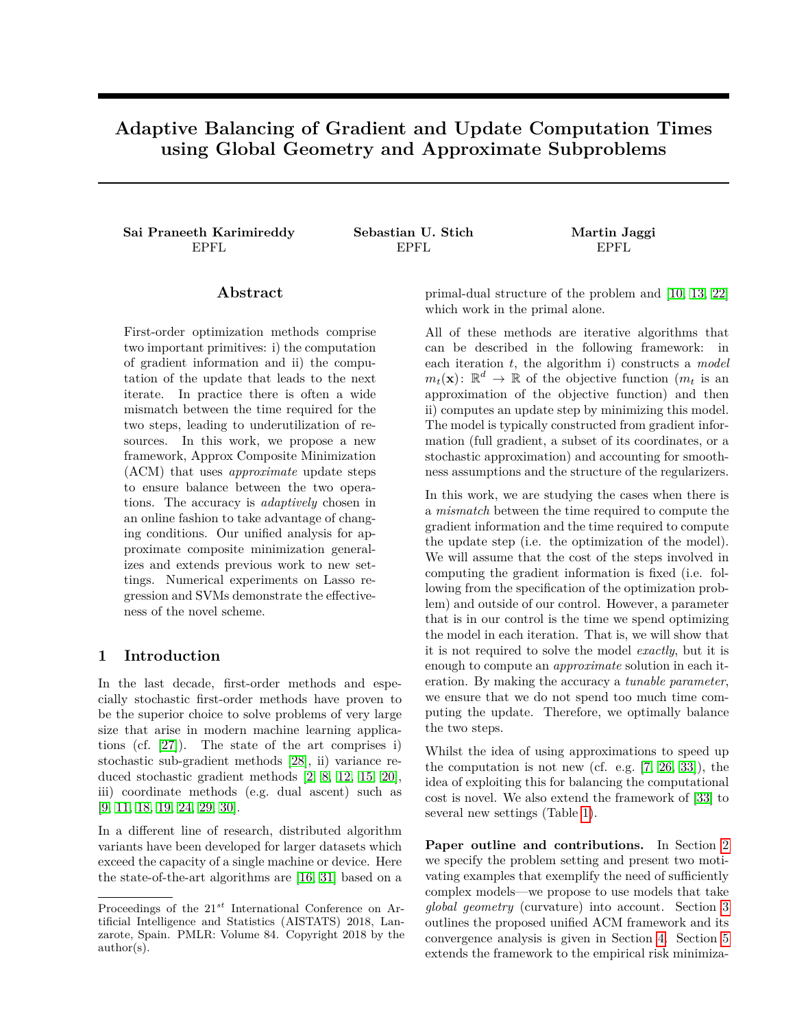# **Adaptive Balancing of Gradient and Update Computation Times using Global Geometry and Approximate Subproblems**

**Sai Praneeth Karimireddy Sebastian U. Stich Martin Jaggi**

EPFL EPFL EPFL

# **Abstract**

First-order optimization methods comprise two important primitives: i) the computation of gradient information and ii) the computation of the update that leads to the next iterate. In practice there is often a wide mismatch between the time required for the two steps, leading to underutilization of resources. In this work, we propose a new framework, Approx Composite Minimization (ACM) that uses *approximate* update steps to ensure balance between the two operations. The accuracy is *adaptively* chosen in an online fashion to take advantage of changing conditions. Our unified analysis for approximate composite minimization generalizes and extends previous work to new settings. Numerical experiments on Lasso regression and SVMs demonstrate the effectiveness of the novel scheme.

# **1 Introduction**

In the last decade, first-order methods and especially stochastic first-order methods have proven to be the superior choice to solve problems of very large size that arise in modern machine learning applications (cf. [\[27\]](#page-9-0)). The state of the art comprises i) stochastic sub-gradient methods [\[28\]](#page-9-1), ii) variance reduced stochastic gradient methods [\[2,](#page-8-0) [8,](#page-8-1) [12,](#page-8-2) [15,](#page-8-3) [20\]](#page-8-4), iii) coordinate methods (e.g. dual ascent) such as [\[9,](#page-8-5) [11,](#page-8-6) [18,](#page-8-7) [19,](#page-8-8) [24,](#page-8-9) [29,](#page-9-2) [30\]](#page-9-3).

In a different line of research, distributed algorithm variants have been developed for larger datasets which exceed the capacity of a single machine or device. Here the state-of-the-art algorithms are [\[16,](#page-8-10) [31\]](#page-9-4) based on a primal-dual structure of the problem and [\[10,](#page-8-11) [13,](#page-8-12) [22\]](#page-8-13) which work in the primal alone.

All of these methods are iterative algorithms that can be described in the following framework: in each iteration *t*, the algorithm i) constructs a *model*  $m_t(\mathbf{x})$ :  $\mathbb{R}^d \to \mathbb{R}$  of the objective function  $(m_t$  is an approximation of the objective function) and then ii) computes an update step by minimizing this model. The model is typically constructed from gradient information (full gradient, a subset of its coordinates, or a stochastic approximation) and accounting for smoothness assumptions and the structure of the regularizers.

In this work, we are studying the cases when there is a *mismatch* between the time required to compute the gradient information and the time required to compute the update step (i.e. the optimization of the model). We will assume that the cost of the steps involved in computing the gradient information is fixed (i.e. following from the specification of the optimization problem) and outside of our control. However, a parameter that is in our control is the time we spend optimizing the model in each iteration. That is, we will show that it is not required to solve the model *exactly*, but it is enough to compute an *approximate* solution in each iteration. By making the accuracy a *tunable parameter*, we ensure that we do not spend too much time computing the update. Therefore, we optimally balance the two steps.

Whilst the idea of using approximations to speed up the computation is not new (cf. e.g. [\[7,](#page-8-14) [26,](#page-8-15) [33\]](#page-9-5)), the idea of exploiting this for balancing the computational cost is novel. We also extend the framework of [\[33\]](#page-9-5) to several new settings (Table [1\)](#page-1-0).

**Paper outline and contributions.** In Section [2](#page-1-1) we specify the problem setting and present two motivating examples that exemplify the need of sufficiently complex models—we propose to use models that take *global geometry* (curvature) into account. Section [3](#page-2-0) outlines the proposed unified ACM framework and its convergence analysis is given in Section [4.](#page-2-1) Section [5](#page-3-0) extends the framework to the empirical risk minimiza-

Proceedings of the 21*st* International Conference on Artificial Intelligence and Statistics (AISTATS) 2018, Lanzarote, Spain. PMLR: Volume 84. Copyright 2018 by the author(s).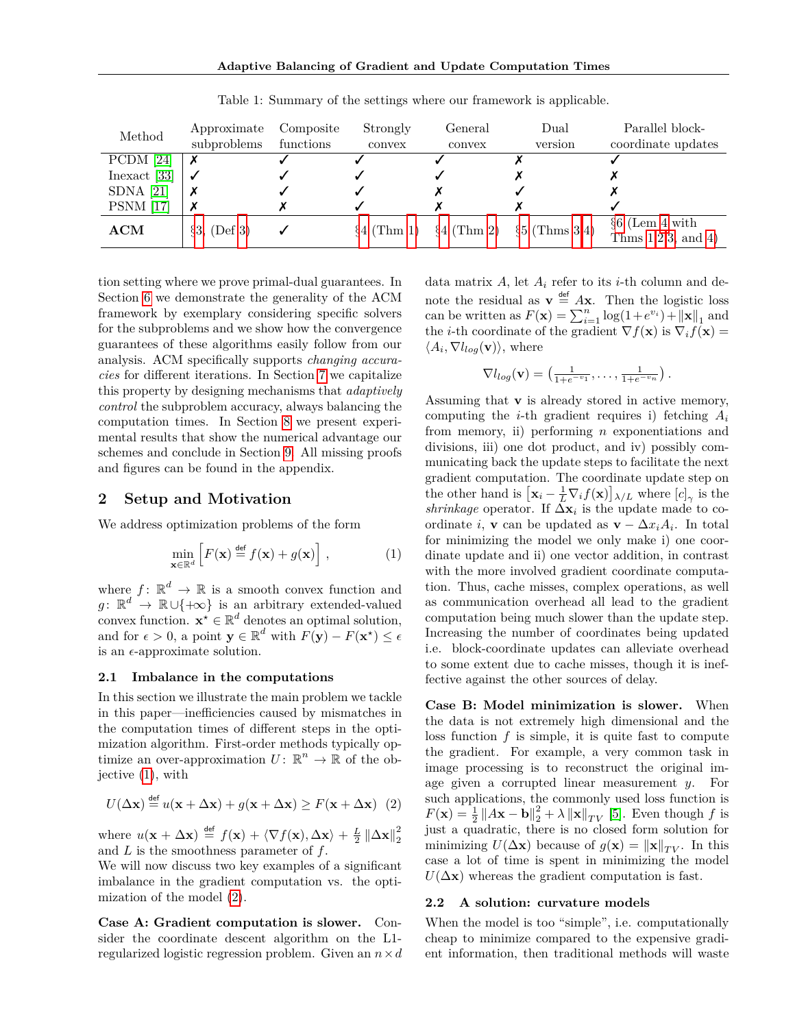<span id="page-1-0"></span>

| Method           | Approximate<br>subproblems | Composite<br>functions | Strongly<br>convex | General<br>convex | Dual<br>version                | Parallel block-<br>coordinate updates |
|------------------|----------------------------|------------------------|--------------------|-------------------|--------------------------------|---------------------------------------|
| PCDM [24]        |                            |                        |                    |                   |                                |                                       |
| Inexact [33]     |                            |                        |                    |                   |                                |                                       |
| SDNA $[21]$      |                            |                        |                    |                   |                                |                                       |
| <b>PSNM</b> [17] |                            |                        |                    |                   |                                |                                       |
| ACM              | $\S3, (Def 3)$             |                        | $\{4 (Thm 1)\}$    |                   | $\S4$ (Thm 2) $\S5$ (Thms 3,4) | $66$ (Lem 4 with                      |
|                  |                            |                        |                    |                   |                                | Thms $1,2,3$ , and $4)$               |

Table 1: Summary of the settings where our framework is applicable.

tion setting where we prove primal-dual guarantees. In Section [6](#page-3-4) we demonstrate the generality of the ACM framework by exemplary considering specific solvers for the subproblems and we show how the convergence guarantees of these algorithms easily follow from our analysis. ACM specifically supports *changing accuracies* for different iterations. In Section [7](#page-4-1) we capitalize this property by designing mechanisms that *adaptively control* the subproblem accuracy, always balancing the computation times. In Section [8](#page-6-0) we present experimental results that show the numerical advantage our schemes and conclude in Section [9.](#page-7-0) All missing proofs and figures can be found in the appendix.

# <span id="page-1-1"></span>**2 Setup and Motivation**

We address optimization problems of the form

$$
\min_{\mathbf{x} \in \mathbb{R}^d} \left[ F(\mathbf{x}) \stackrel{\text{def}}{=} f(\mathbf{x}) + g(\mathbf{x}) \right],\tag{1}
$$

where  $f: \mathbb{R}^d \to \mathbb{R}$  is a smooth convex function and  $g: \mathbb{R}^d \to \mathbb{R} \cup \{+\infty\}$  is an arbitrary extended-valued convex function.  $\mathbf{x}^* \in \mathbb{R}^d$  denotes an optimal solution, and for  $\epsilon > 0$ , a point  $\mathbf{y} \in \mathbb{R}^d$  with  $F(\mathbf{y}) - F(\mathbf{x}^*) \leq \epsilon$ is an  $\epsilon$ -approximate solution.

#### **2.1 Imbalance in the computations**

In this section we illustrate the main problem we tackle in this paper—inefficiencies caused by mismatches in the computation times of different steps in the optimization algorithm. First-order methods typically optimize an over-approximation  $U: \mathbb{R}^n \to \mathbb{R}$  of the objective [\(1\)](#page-1-2), with

$$
U(\Delta \mathbf{x}) \stackrel{\text{def}}{=} u(\mathbf{x} + \Delta \mathbf{x}) + g(\mathbf{x} + \Delta \mathbf{x}) \ge F(\mathbf{x} + \Delta \mathbf{x}) \tag{2}
$$

where  $u(\mathbf{x} + \Delta \mathbf{x}) \stackrel{\text{def}}{=} f(\mathbf{x}) + \langle \nabla f(\mathbf{x}), \Delta \mathbf{x} \rangle + \frac{L}{2} ||\Delta \mathbf{x}||_2^2$ and *L* is the smoothness parameter of *f*.

We will now discuss two key examples of a significant imbalance in the gradient computation vs. the optimization of the model [\(2\)](#page-1-3).

**Case A: Gradient computation is slower.** Consider the coordinate descent algorithm on the L1 regularized logistic regression problem. Given an *n*×*d* data matrix  $A$ , let  $A_i$  refer to its *i*-th column and denote the residual as  $\mathbf{v} \stackrel{\text{def}}{=} A\mathbf{x}$ . Then the logistic loss can be written as  $F(\mathbf{x}) = \sum_{i=1}^{n} \log(1 + e^{v_i}) + ||\mathbf{x}||_1$  and the *i*-th coordinate of the gradient  $\nabla f(\mathbf{x})$  is  $\nabla_i f(\mathbf{x}) =$  $\langle A_i, \nabla l_{log}(\mathbf{v}) \rangle$ , where

$$
\nabla l_{log}(\mathbf{v}) = \left(\frac{1}{1+e^{-v_1}}, \ldots, \frac{1}{1+e^{-v_n}}\right).
$$

<span id="page-1-2"></span>Assuming that **v** is already stored in active memory, computing the *i*-th gradient requires i) fetching *A<sup>i</sup>* from memory, ii) performing *n* exponentiations and divisions, iii) one dot product, and iv) possibly communicating back the update steps to facilitate the next gradient computation. The coordinate update step on the other hand is  $[\mathbf{x}_i - \frac{1}{L} \nabla_i f(\mathbf{x})]_{\lambda/L}$  where  $[c]_{\gamma}$  is the *shrinkage* operator. If  $\Delta \mathbf{x}_i$  is the update made to coordinate *i*, **v** can be updated as  $\mathbf{v} - \Delta x_i A_i$ . In total for minimizing the model we only make i) one coordinate update and ii) one vector addition, in contrast with the more involved gradient coordinate computation. Thus, cache misses, complex operations, as well as communication overhead all lead to the gradient computation being much slower than the update step. Increasing the number of coordinates being updated i.e. block-coordinate updates can alleviate overhead to some extent due to cache misses, though it is ineffective against the other sources of delay.

<span id="page-1-3"></span>**Case B: Model minimization is slower.** When the data is not extremely high dimensional and the loss function *f* is simple, it is quite fast to compute the gradient. For example, a very common task in image processing is to reconstruct the original image given a corrupted linear measurement *y*. For such applications, the commonly used loss function is  $F(\mathbf{x}) = \frac{1}{2} ||A\mathbf{x} - \mathbf{b}||_2^2 + \lambda ||\mathbf{x}||_{TV}$  [\[5\]](#page-8-18). Even though *f* is just a quadratic, there is no closed form solution for minimizing  $U(\Delta \mathbf{x})$  because of  $g(\mathbf{x}) = ||\mathbf{x}||_{TV}$ . In this case a lot of time is spent in minimizing the model  $U(\Delta x)$  whereas the gradient computation is fast.

#### **2.2 A solution: curvature models**

When the model is too "simple", i.e. computationally cheap to minimize compared to the expensive gradient information, then traditional methods will waste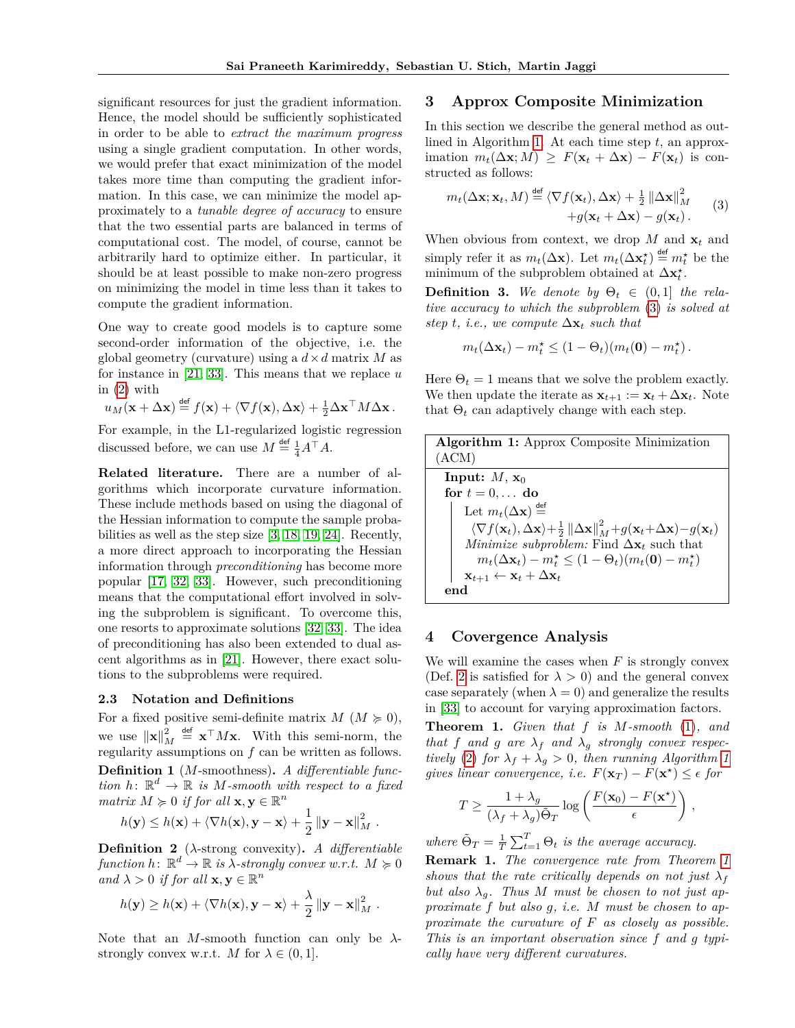significant resources for just the gradient information. Hence, the model should be sufficiently sophisticated in order to be able to *extract the maximum progress* using a single gradient computation. In other words, we would prefer that exact minimization of the model takes more time than computing the gradient information. In this case, we can minimize the model approximately to a *tunable degree of accuracy* to ensure that the two essential parts are balanced in terms of computational cost. The model, of course, cannot be arbitrarily hard to optimize either. In particular, it should be at least possible to make non-zero progress on minimizing the model in time less than it takes to compute the gradient information.

One way to create good models is to capture some second-order information of the objective, i.e. the global geometry (curvature) using a  $d \times d$  matrix *M* as for instance in [\[21,](#page-8-16) [33\]](#page-9-5). This means that we replace *u* in [\(2\)](#page-1-3) with

$$
u_M(\mathbf{x} + \Delta \mathbf{x}) \stackrel{\text{def}}{=} f(\mathbf{x}) + \langle \nabla f(\mathbf{x}), \Delta \mathbf{x} \rangle + \frac{1}{2} \Delta \mathbf{x}^\top M \Delta \mathbf{x}.
$$

For example, in the L1-regularized logistic regression discussed before, we can use  $M \stackrel{\text{def}}{=} \frac{1}{4} A^{\top} A$ .

**Related literature.** There are a number of algorithms which incorporate curvature information. These include methods based on using the diagonal of the Hessian information to compute the sample probabilities as well as the step size [\[3,](#page-8-19) [18,](#page-8-7) [19,](#page-8-8) [24\]](#page-8-9). Recently, a more direct approach to incorporating the Hessian information through *preconditioning* has become more popular [\[17,](#page-8-17) [32,](#page-9-6) [33\]](#page-9-5). However, such preconditioning means that the computational effort involved in solving the subproblem is significant. To overcome this, one resorts to approximate solutions [\[32,](#page-9-6) [33\]](#page-9-5). The idea of preconditioning has also been extended to dual ascent algorithms as in [\[21\]](#page-8-16). However, there exact solutions to the subproblems were required.

#### **2.3 Notation and Definitions**

<span id="page-2-7"></span>For a fixed positive semi-definite matrix  $M (M \succcurlyeq 0)$ , we use  $\|\mathbf{x}\|_{M}^{2} \stackrel{\text{def}}{=} \mathbf{x}^{\top} M \mathbf{x}$ . With this semi-norm, the regularity assumptions on *f* can be written as follows. **Definition 1** (*M*-smoothness)**.** *A differentiable function*  $h: \mathbb{R}^d \to \mathbb{R}$  *is M-smooth with respect to a fixed matrix*  $M \geq 0$  *if for all*  $\mathbf{x}, \mathbf{y} \in \mathbb{R}^n$ 

$$
h(\mathbf{y}) \leq h(\mathbf{x}) + \langle \nabla h(\mathbf{x}), \mathbf{y} - \mathbf{x} \rangle + \frac{1}{2} ||\mathbf{y} - \mathbf{x}||_M^2.
$$

<span id="page-2-6"></span>**Definition 2** (*λ*-strong convexity)**.** *A differentiable*  $function h: \mathbb{R}^d \to \mathbb{R}$  *is*  $\lambda$ -strongly convex w.r.t.  $M \succcurlyeq 0$  $a$ <sup>*nd*</sup>  $\lambda > 0$  *if for all*  $\mathbf{x}, \mathbf{y} \in \mathbb{R}^n$ 

$$
h(\mathbf{y}) \ge h(\mathbf{x}) + \langle \nabla h(\mathbf{x}), \mathbf{y} - \mathbf{x} \rangle + \frac{\lambda}{2} ||\mathbf{y} - \mathbf{x}||_M^2.
$$

<span id="page-2-0"></span>Note that an *M*-smooth function can only be *λ*strongly convex w.r.t. *M* for  $\lambda \in (0,1]$ .

# **3 Approx Composite Minimization**

In this section we describe the general method as outlined in Algorithm [1.](#page-2-4) At each time step *t*, an approx $i_{t}$ ( $\Delta$ **x**; *M*)  $\geq F(\mathbf{x}_{t} + \Delta \mathbf{x}) - F(\mathbf{x}_{t})$  is constructed as follows:

<span id="page-2-5"></span>
$$
m_t(\Delta \mathbf{x}; \mathbf{x}_t, M) \stackrel{\text{def}}{=} \langle \nabla f(\mathbf{x}_t), \Delta \mathbf{x} \rangle + \frac{1}{2} ||\Delta \mathbf{x}||_M^2 + g(\mathbf{x}_t + \Delta \mathbf{x}) - g(\mathbf{x}_t).
$$
 (3)

When obvious from context, we drop  $M$  and  $\mathbf{x}_t$  and simply refer it as  $m_t(\Delta \mathbf{x})$ . Let  $m_t(\Delta \mathbf{x}_t^*) \stackrel{\text{def}}{=} m_t^*$  be the minimum of the subproblem obtained at  $\Delta \mathbf{x}_t^{\star}$ .

<span id="page-2-2"></span>**Definition 3.** We denote by  $\Theta_t \in (0,1]$  the rela*tive accuracy to which the subproblem* [\(3\)](#page-2-5) *is solved at step t, i.e., we compute*  $\Delta \mathbf{x}_t$  *such that* 

$$
m_t(\Delta \mathbf{x}_t) - m_t^* \leq (1 - \Theta_t)(m_t(\mathbf{0}) - m_t^*).
$$

Here  $\Theta_t = 1$  means that we solve the problem exactly. We then update the iterate as  $\mathbf{x}_{t+1} := \mathbf{x}_t + \Delta \mathbf{x}_t$ . Note that  $\Theta_t$  can adaptively change with each step.

<span id="page-2-4"></span>

| <b>Algorithm 1:</b> Approx Composite Minimization                                                                                                           |
|-------------------------------------------------------------------------------------------------------------------------------------------------------------|
| (ACM)                                                                                                                                                       |
| Input: $M$ , $\mathbf{x}_0$                                                                                                                                 |
| for $t = 0, \ldots$ do                                                                                                                                      |
| Let $m_t(\Delta \mathbf{x}) \stackrel{\text{def}}{=}$                                                                                                       |
| $\langle \nabla f(\mathbf{x}_t), \Delta \mathbf{x} \rangle + \frac{1}{2}   \Delta \mathbf{x}  ^2_M + g(\mathbf{x}_t + \Delta \mathbf{x}) - g(\mathbf{x}_t)$ |
| <i>Minimize subproblem:</i> Find $\Delta x_t$ such that                                                                                                     |
| $m_t(\Delta x_t) - m_t^* \leq (1 - \Theta_t)(m_t(\mathbf{0}) - m_t^*)$                                                                                      |
| $\mathbf{x}_{t+1} \leftarrow \mathbf{x}_t + \Delta \mathbf{x}_t$                                                                                            |
|                                                                                                                                                             |

### <span id="page-2-1"></span>**4 Covergence Analysis**

We will examine the cases when *F* is strongly convex (Def. [2](#page-2-6) is satisfied for  $\lambda > 0$ ) and the general convex case separately (when  $\lambda = 0$ ) and generalize the results in [\[33\]](#page-9-5) to account for varying approximation factors.

<span id="page-2-3"></span>**Theorem 1.** *Given that f is M-smooth* [\(1\)](#page-2-7)*, and that f* and *g* are  $\lambda_f$  and  $\lambda_g$  *strongly convex respectively* [\(2\)](#page-2-6) *for*  $\lambda_f + \lambda_g > 0$ *, then running Algorithm [1](#page-2-4) gives linear convergence, i.e.*  $F(\mathbf{x}_T) - F(\mathbf{x}^*) \leq \epsilon$  for

$$
T \ge \frac{1 + \lambda_g}{(\lambda_f + \lambda_g)\tilde{\Theta}_T} \log \left( \frac{F(\mathbf{x}_0) - F(\mathbf{x}^*)}{\epsilon} \right),
$$

*where*  $\tilde{\Theta}_T = \frac{1}{T} \sum_{t=1}^T \Theta_t$  *is the average accuracy.* 

**Remark 1.** *The convergence rate from Theorem [1](#page-2-3) shows that the rate critically depends on not just*  $\lambda_f$ but also  $\lambda_q$ . Thus M must be chosen to not just ap*proximate f but also g, i.e. M must be chosen to approximate the curvature of F as closely as possible. This is an important observation since f and g typically have very different curvatures.*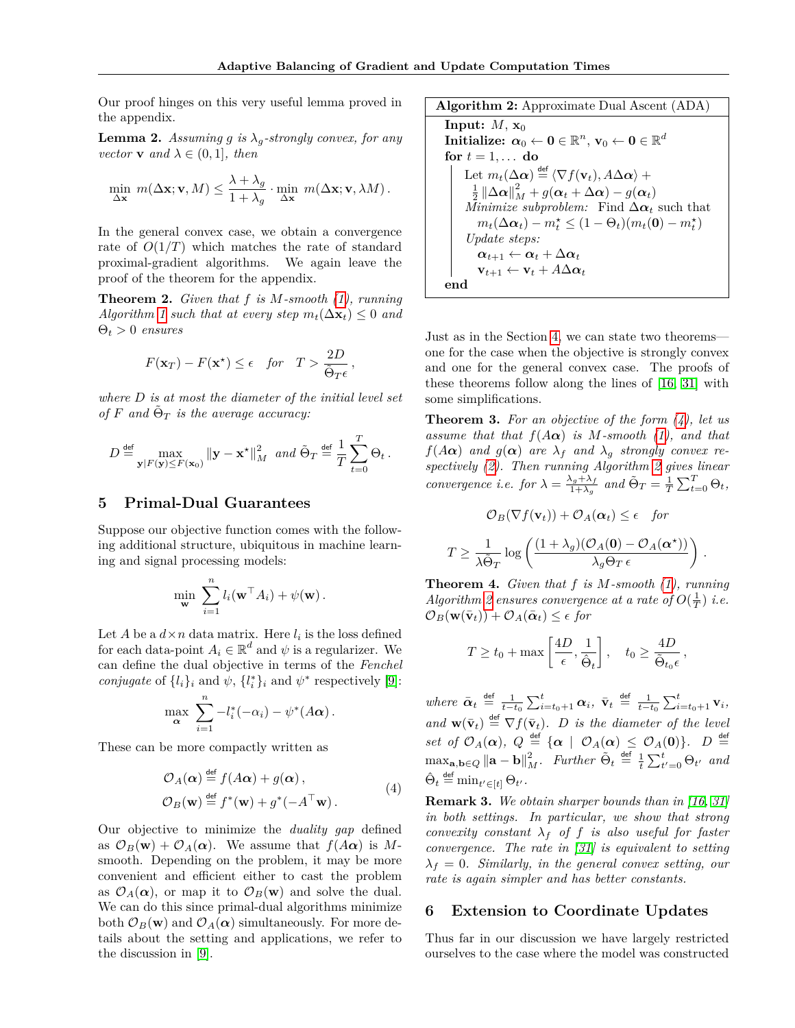Our proof hinges on this very useful lemma proved in the appendix.

**Lemma 2.** *Assuming g is*  $\lambda_q$ *-strongly convex, for any vector* **v** *and*  $\lambda \in (0, 1]$ *, then* 

$$
\min_{\Delta \mathbf{x}} m(\Delta \mathbf{x}; \mathbf{v}, M) \leq \frac{\lambda + \lambda_g}{1 + \lambda_g} \cdot \min_{\Delta \mathbf{x}} m(\Delta \mathbf{x}; \mathbf{v}, \lambda M).
$$

In the general convex case, we obtain a convergence rate of  $O(1/T)$  which matches the rate of standard proximal-gradient algorithms. We again leave the proof of the theorem for the appendix.

<span id="page-3-1"></span>**Theorem 2.** *Given that f is M-smooth [\(1\)](#page-2-7), running Algorithm* [1](#page-2-4) *such that at every step*  $m_t(\Delta \mathbf{x}_t) \leq 0$  *and* Θ*<sup>t</sup> >* 0 *ensures*

$$
F(\mathbf{x}_T) - F(\mathbf{x}^*) \le \epsilon \quad \text{for} \quad T > \frac{2D}{\tilde{\Theta}_T \epsilon},
$$

*where D is at most the diameter of the initial level set*  $of$   $F$   $and$   $\tilde{\Theta}_T$  *is the average accuracy:* 

$$
D \stackrel{\text{def}}{=} \max_{\mathbf{y}|F(\mathbf{y}) \leq F(\mathbf{x}_0)} \|\mathbf{y} - \mathbf{x}^{\star}\|_{M}^{2} \text{ and } \tilde{\Theta}_T \stackrel{\text{def}}{=} \frac{1}{T} \sum_{t=0}^{T} \Theta_t.
$$

### <span id="page-3-0"></span>**5 Primal-Dual Guarantees**

Suppose our objective function comes with the following additional structure, ubiquitous in machine learning and signal processing models:

$$
\min_{\mathbf{w}} \sum_{i=1}^n l_i(\mathbf{w}^\top A_i) + \psi(\mathbf{w}).
$$

Let *A* be a  $d \times n$  data matrix. Here  $l_i$  is the loss defined for each data-point  $A_i \in \mathbb{R}^d$  and  $\psi$  is a regularizer. We can define the dual objective in terms of the *Fenchel conjugate* of  $\{l_i\}_i$  and  $\psi$ ,  $\{l_i^*\}_i$  and  $\psi^*$  respectively [\[9\]](#page-8-5):

$$
\max_{\mathbf{\alpha}} \sum_{i=1}^{n} -l_i^*(-\alpha_i) - \psi^*(A\mathbf{\alpha}).
$$

These can be more compactly written as

$$
\mathcal{O}_A(\boldsymbol{\alpha}) \stackrel{\text{def}}{=} f(A\boldsymbol{\alpha}) + g(\boldsymbol{\alpha}),
$$
  
\n
$$
\mathcal{O}_B(\mathbf{w}) \stackrel{\text{def}}{=} f^*(\mathbf{w}) + g^*(-A^\top \mathbf{w}).
$$
\n(4)

Our objective to minimize the *duality gap* defined as  $\mathcal{O}_B(\mathbf{w}) + \mathcal{O}_A(\alpha)$ . We assume that  $f(A\alpha)$  is Msmooth. Depending on the problem, it may be more convenient and efficient either to cast the problem as  $\mathcal{O}_A(\alpha)$ , or map it to  $\mathcal{O}_B(\mathbf{w})$  and solve the dual. We can do this since primal-dual algorithms minimize both  $\mathcal{O}_B(\mathbf{w})$  and  $\mathcal{O}_A(\alpha)$  simultaneously. For more details about the setting and applications, we refer to the discussion in [\[9\]](#page-8-5).

<span id="page-3-6"></span>**Algorithm 2:** Approximate Dual Ascent (ADA) **Input:**  $M$ ,  $\mathbf{x}_0$  $\textbf{Initialize: } \textbf{\textit{a}}_0 \leftarrow \textbf{0} \in \mathbb{R}^n, \, \textbf{v}_0 \leftarrow \textbf{0} \in \mathbb{R}^d$ for  $t = 1, \ldots$  do Let  $m_t(\Delta \boldsymbol{\alpha}) \stackrel{\mathsf{def}}{=} \langle \nabla f(\mathbf{v}_t), A \Delta \boldsymbol{\alpha} \rangle +$  $\frac{1}{2}$   $\left\|\Delta \boldsymbol{\alpha}\right\|_{M}^{2} + g(\boldsymbol{\alpha}_{t} + \Delta \boldsymbol{\alpha}) - g(\boldsymbol{\alpha}_{t})$ *Minimize subproblem:* Find  $\Delta \alpha_t$  such that  $m_t(\Delta \alpha_t) - m_t^{\star} \leq (1 - \Theta_t)(m_t(\mathbf{0}) - m_t^{\star})$ *Update steps:*  $\alpha_{t+1} \leftarrow \alpha_t + \Delta \alpha_t$  $\mathbf{v}_{t+1} \leftarrow \mathbf{v}_t + A\Delta\boldsymbol{\alpha}_t$ **end**

Just as in the Section [4,](#page-2-1) we can state two theorems one for the case when the objective is strongly convex and one for the general convex case. The proofs of these theorems follow along the lines of [\[16,](#page-8-10) [31\]](#page-9-4) with some simplifications.

<span id="page-3-2"></span>**Theorem 3.** *For an objective of the form [\(4\)](#page-3-5), let us assume that that*  $f(A\alpha)$  *is*  $M$ *-smooth*  $(1)$ *, and that f*(*A* $\alpha$ ) *and g*( $\alpha$ ) *are*  $\lambda_f$  *and*  $\lambda_g$  *strongly convex respectively [\(2\)](#page-2-6). Then running Algorithm [2](#page-3-6) gives linear convergence i.e.* for  $\lambda = \frac{\lambda_g + \lambda_f}{1 + \lambda_g}$  $\frac{\Delta_g + \lambda_f}{1 + \lambda_g}$  and  $\tilde{\Theta}_T = \frac{1}{T} \sum_{t=0}^T \Theta_t$ ,

$$
\mathcal{O}_B(\nabla f(\mathbf{v}_t)) + \mathcal{O}_A(\boldsymbol{\alpha}_t) \le \epsilon \quad \text{for}
$$
\n
$$
T \ge \frac{1}{\lambda \tilde{\Theta}_T} \log \left( \frac{(1 + \lambda_g)(\mathcal{O}_A(\mathbf{0}) - \mathcal{O}_A(\boldsymbol{\alpha}^*))}{\lambda_g \Theta_T \epsilon} \right)
$$

*.*

<span id="page-3-3"></span>**Theorem 4.** *Given that f is M-smooth [\(1\)](#page-2-7), running Algorithm* [2](#page-3-6) ensures convergence at a rate of  $O(\frac{1}{T})$  *i.e.*  $\mathcal{O}_B(\mathbf{w}(\bar{\mathbf{v}}_t)) + \mathcal{O}_A(\bar{\boldsymbol{\alpha}}_t) \leq \epsilon$  for

$$
T \ge t_0 + \max\left[\frac{4D}{\epsilon}, \frac{1}{\hat{\Theta}_t}\right], \quad t_0 \ge \frac{4D}{\tilde{\Theta}_{t_0}\epsilon},
$$

*where*  $\bar{\boldsymbol{\alpha}}_t \stackrel{\text{def}}{=} \frac{1}{t-t_0} \sum_{i=t_0+1}^t \boldsymbol{\alpha}_i, \ \bar{\mathbf{v}}_t \stackrel{\text{def}}{=} \frac{1}{t-t_0} \sum_{i=t_0+1}^t \mathbf{v}_i,$ and  $\mathbf{w}(\bar{\mathbf{v}}_t) \stackrel{\text{def}}{=} \nabla f(\bar{\mathbf{v}}_t)$ . *D is the diameter of the level*  $\int$  *set of*  $\mathcal{O}_A(\boldsymbol{\alpha})$ *,*  $Q \stackrel{\mathsf{def}}{=} {\{\boldsymbol{\alpha} \mid \mathcal{O}_A(\boldsymbol{\alpha}) \leq \mathcal{O}_A(\boldsymbol{0})\}}$ *.*  $D \stackrel{\mathsf{def}}{=}$  $\max_{\mathbf{a},\mathbf{b}\in Q} \|\mathbf{a}-\mathbf{b}\|_{M}^{2}$ . Further  $\tilde{\Theta}_{t} \stackrel{\text{def}}{=} \frac{1}{t} \sum_{t'=0}^{t} \Theta_{t'}$  and  $\hat{\Theta}_t \stackrel{\text{def}}{=} \min_{t' \in [t]} \Theta_{t'}$ .

<span id="page-3-5"></span>**Remark 3.** *We obtain sharper bounds than in [\[16,](#page-8-10) [31\]](#page-9-4) in both settings. In particular, we show that strong convexity constant*  $\lambda_f$  *of f is also useful for faster convergence. The rate in [\[31\]](#page-9-4) is equivalent to setting*  $\lambda_f = 0$ *. Similarly, in the general convex setting, our rate is again simpler and has better constants.*

#### <span id="page-3-4"></span>**6 Extension to Coordinate Updates**

Thus far in our discussion we have largely restricted ourselves to the case where the model was constructed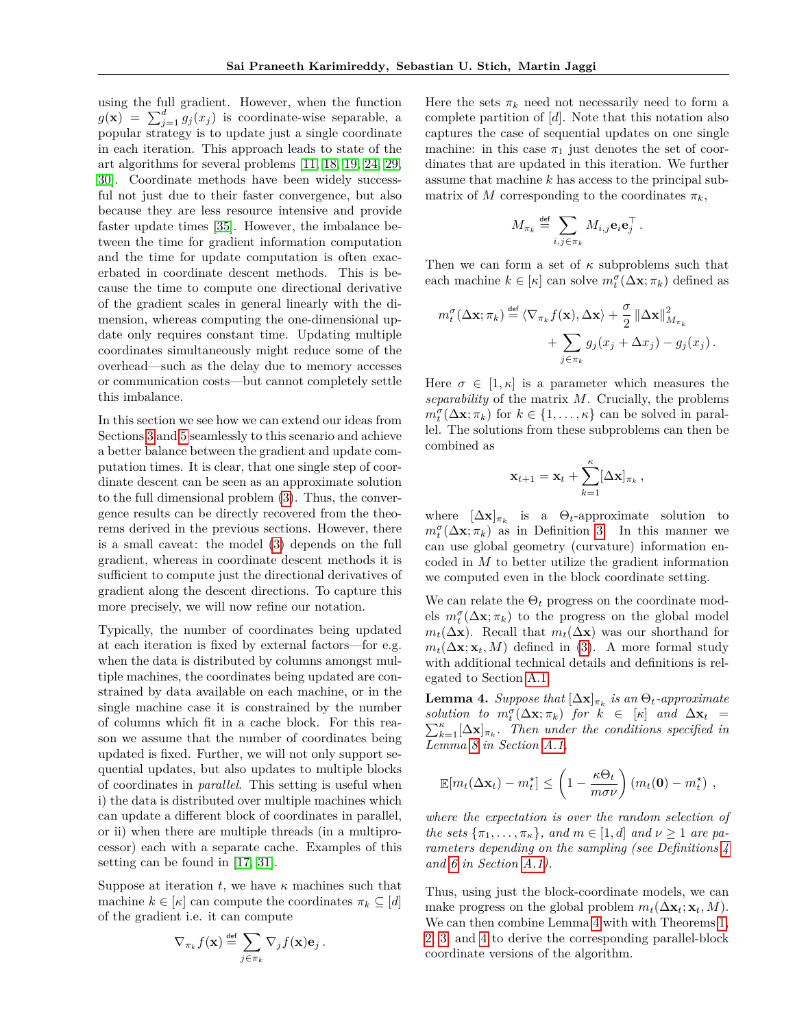using the full gradient. However, when the function  $g(\mathbf{x}) = \sum_{j=1}^{d} g_j(x_j)$  is coordinate-wise separable, a popular strategy is to update just a single coordinate in each iteration. This approach leads to state of the art algorithms for several problems [\[11,](#page-8-6) [18,](#page-8-7) [19,](#page-8-8) [24,](#page-8-9) [29,](#page-9-2) [30\]](#page-9-3). Coordinate methods have been widely successful not just due to their faster convergence, but also because they are less resource intensive and provide faster update times [\[35\]](#page-9-7). However, the imbalance between the time for gradient information computation and the time for update computation is often exacerbated in coordinate descent methods. This is because the time to compute one directional derivative of the gradient scales in general linearly with the dimension, whereas computing the one-dimensional update only requires constant time. Updating multiple coordinates simultaneously might reduce some of the overhead—such as the delay due to memory accesses or communication costs—but cannot completely settle this imbalance.

In this section we see how we can extend our ideas from Sections [3](#page-2-0) and [5](#page-3-0) seamlessly to this scenario and achieve a better balance between the gradient and update computation times. It is clear, that one single step of coordinate descent can be seen as an approximate solution to the full dimensional problem [\(3\)](#page-2-5). Thus, the convergence results can be directly recovered from the theorems derived in the previous sections. However, there is a small caveat: the model [\(3\)](#page-2-5) depends on the full gradient, whereas in coordinate descent methods it is sufficient to compute just the directional derivatives of gradient along the descent directions. To capture this more precisely, we will now refine our notation.

Typically, the number of coordinates being updated at each iteration is fixed by external factors—for e.g. when the data is distributed by columns amongst multiple machines, the coordinates being updated are constrained by data available on each machine, or in the single machine case it is constrained by the number of columns which fit in a cache block. For this reason we assume that the number of coordinates being updated is fixed. Further, we will not only support sequential updates, but also updates to multiple blocks of coordinates in *parallel*. This setting is useful when i) the data is distributed over multiple machines which can update a different block of coordinates in parallel, or ii) when there are multiple threads (in a multiprocessor) each with a separate cache. Examples of this setting can be found in [\[17,](#page-8-17) [31\]](#page-9-4).

Suppose at iteration  $t$ , we have  $\kappa$  machines such that machine  $k \in [\kappa]$  can compute the coordinates  $\pi_k \subseteq [d]$ of the gradient i.e. it can compute

$$
\nabla_{\pi_k} f(\mathbf{x}) \stackrel{\text{def}}{=} \sum_{j \in \pi_k} \nabla_j f(\mathbf{x}) \mathbf{e}_j.
$$

Here the sets  $\pi_k$  need not necessarily need to form a complete partition of [*d*]. Note that this notation also captures the case of sequential updates on one single machine: in this case  $\pi_1$  just denotes the set of coordinates that are updated in this iteration. We further assume that machine *k* has access to the principal submatrix of *M* corresponding to the coordinates  $\pi_k$ ,

$$
M_{\pi_k} \stackrel{\text{def}}{=} \sum_{i,j \in \pi_k} M_{i,j} \mathbf{e}_i \mathbf{e}_j^\top.
$$

Then we can form a set of *κ* subproblems such that each machine  $k \in [\kappa]$  can solve  $m_t^{\sigma}(\Delta \mathbf{x}; \pi_k)$  defined as

$$
m_t^{\sigma}(\Delta \mathbf{x}; \pi_k) \stackrel{\text{def}}{=} \langle \nabla_{\pi_k} f(\mathbf{x}), \Delta \mathbf{x} \rangle + \frac{\sigma}{2} ||\Delta \mathbf{x}||_{M_{\pi_k}}^2 + \sum_{j \in \pi_k} g_j(x_j + \Delta x_j) - g_j(x_j) .
$$

Here  $\sigma \in [1, \kappa]$  is a parameter which measures the *separability* of the matrix *M*. Crucially, the problems  $m_t^{\sigma}(\Delta \mathbf{x}; \pi_k)$  for  $k \in \{1, ..., \kappa\}$  can be solved in parallel. The solutions from these subproblems can then be combined as

$$
\mathbf{x}_{t+1} = \mathbf{x}_t + \sum_{k=1}^{\kappa} [\Delta \mathbf{x}]_{\pi_k},
$$

where  $[\Delta \mathbf{x}]_{\pi_k}$  is a  $\Theta_t$ -approximate solution to  $m_t^{\sigma}(\Delta \mathbf{x}; \pi_k)$  as in Definition [3.](#page-2-2) In this manner we can use global geometry (curvature) information encoded in *M* to better utilize the gradient information we computed even in the block coordinate setting.

We can relate the  $\Theta_t$  progress on the coordinate models  $m_t^{\sigma}(\Delta \mathbf{x}; \pi_k)$  to the progress on the global model  $m_t(\Delta x)$ . Recall that  $m_t(\Delta x)$  was our shorthand for  $m_t(\Delta \mathbf{x}; \mathbf{x}_t, M)$  defined in [\(3\)](#page-2-5). A more formal study with additional technical details and definitions is relegated to Section A.1.

<span id="page-4-0"></span>**Lemma 4.** *Suppose that*  $[\Delta \mathbf{x}]_{\pi_k}$  *is an*  $\Theta_t$ -*approximate solution to*  $m_t^{\sigma}(\Delta \mathbf{x}; \pi_k)$  *for*  $k \in [\kappa]$  *and*  $\Delta \mathbf{x}_t$  = *to*  $m_t(\Delta x; \pi_k)$  for  $\kappa \in [\kappa]$  and  $\Delta x_t = \sum_{k=1}^{\kappa} [\Delta x]_{\pi_k}$ . Then under the conditions specified in *Lemma 8 in Section A.1,*

$$
\mathbb{E}[m_t(\Delta \mathbf{x}_t) - m_t^{\star}] \leq \left(1 - \frac{\kappa \Theta_t}{m \sigma \nu}\right) (m_t(\mathbf{0}) - m_t^{\star}),
$$

*where the expectation is over the random selection of the sets*  $\{\pi_1, \ldots, \pi_{\kappa}\}\$ *, and*  $m \in [1, d]$  *and*  $\nu \geq 1$  *are parameters depending on the sampling (see Definitions 4 and 6 in Section A.1).*

<span id="page-4-1"></span>Thus, using just the block-coordinate models, we can make progress on the global problem  $m_t(\Delta \mathbf{x}_t; \mathbf{x}_t, M)$ . We can then combine Lemma [4](#page-4-0) with with Theorems [1,](#page-2-3) [2,](#page-3-1) [3,](#page-3-2) and [4](#page-3-3) to derive the corresponding parallel-block coordinate versions of the algorithm.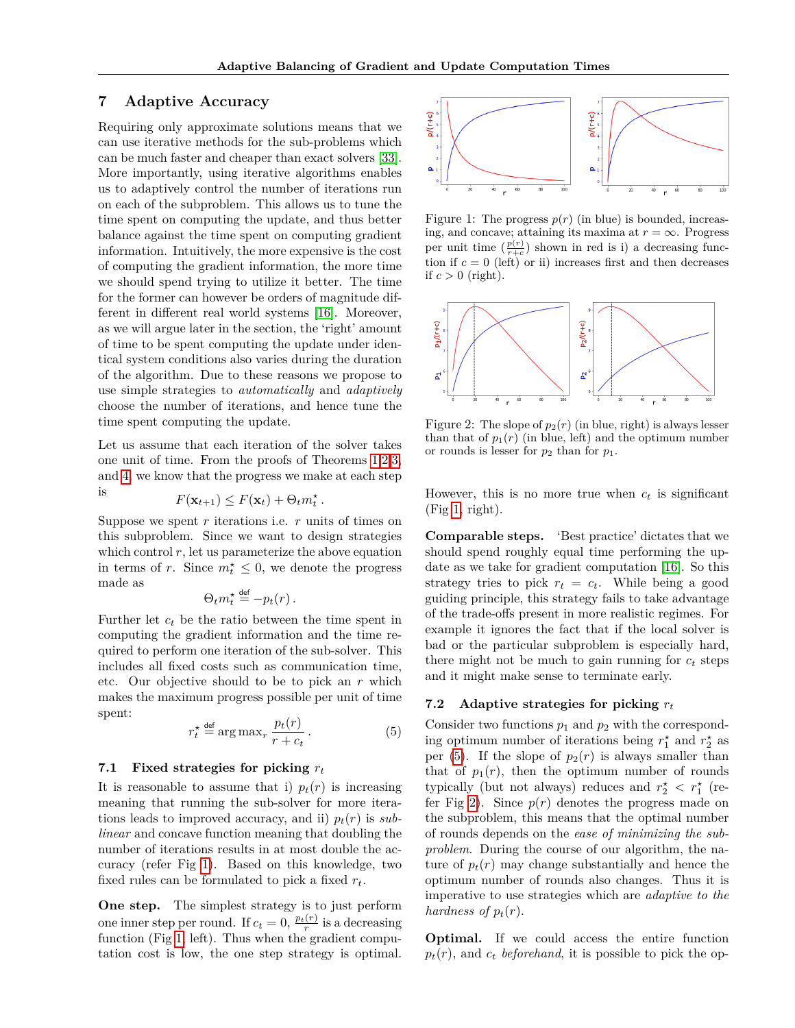## **7 Adaptive Accuracy**

Requiring only approximate solutions means that we can use iterative methods for the sub-problems which can be much faster and cheaper than exact solvers [\[33\]](#page-9-5). More importantly, using iterative algorithms enables us to adaptively control the number of iterations run on each of the subproblem. This allows us to tune the time spent on computing the update, and thus better balance against the time spent on computing gradient information. Intuitively, the more expensive is the cost of computing the gradient information, the more time we should spend trying to utilize it better. The time for the former can however be orders of magnitude different in different real world systems [\[16\]](#page-8-10). Moreover, as we will argue later in the section, the 'right' amount of time to be spent computing the update under identical system conditions also varies during the duration of the algorithm. Due to these reasons we propose to use simple strategies to *automatically* and *adaptively* choose the number of iterations, and hence tune the time spent computing the update.

Let us assume that each iteration of the solver takes one unit of time. From the proofs of Theorems [1](#page-2-3)[,2,](#page-3-1)[3,](#page-3-2) and [4,](#page-3-3) we know that the progress we make at each step *.*

is 
$$
F(\mathbf{x}_{t+1}) \leq F(\mathbf{x}_t) + \Theta_t m_t^*
$$

Suppose we spent *r* iterations i.e. *r* units of times on this subproblem. Since we want to design strategies which control  $r$ , let us parameterize the above equation in terms of *r*. Since  $m_t^* \leq 0$ , we denote the progress made as

$$
\Theta_t m_t^{\star} \stackrel{\text{def}}{=} -p_t(r) \, .
$$

Further let *c<sup>t</sup>* be the ratio between the time spent in computing the gradient information and the time required to perform one iteration of the sub-solver. This includes all fixed costs such as communication time, etc. Our objective should to be to pick an *r* which makes the maximum progress possible per unit of time spent:

<span id="page-5-1"></span>
$$
r_t^* \stackrel{\text{def}}{=} \arg \max_r \frac{p_t(r)}{r + c_t} \,. \tag{5}
$$

#### **7.1 Fixed strategies for picking** *r<sup>t</sup>*

It is reasonable to assume that i)  $p_t(r)$  is increasing meaning that running the sub-solver for more iterations leads to improved accuracy, and ii)  $p_t(r)$  is *sublinear* and concave function meaning that doubling the number of iterations results in at most double the accuracy (refer Fig [1\)](#page-5-0). Based on this knowledge, two fixed rules can be formulated to pick a fixed *rt*.

**One step.** The simplest strategy is to just perform one inner step per round. If  $c_t = 0$ ,  $\frac{p_t(r)}{r}$  is a decreasing function (Fig [1,](#page-5-0) left). Thus when the gradient computation cost is low, the one step strategy is optimal.

<span id="page-5-0"></span>

Figure 1: The progress  $p(r)$  (in blue) is bounded, increasing, and concave; attaining its maxima at  $r = \infty$ . Progress per unit time  $(\frac{p(r)}{r+c})$  shown in red is i) a decreasing function if  $c = 0$  (left) or ii) increases first and then decreases if  $c > 0$  (right).

<span id="page-5-2"></span>

Figure 2: The slope of  $p_2(r)$  (in blue, right) is always lesser than that of  $p_1(r)$  (in blue, left) and the optimum number or rounds is lesser for  $p_2$  than for  $p_1$ .

However, this is no more true when  $c_t$  is significant (Fig [1,](#page-5-0) right).

**Comparable steps.** 'Best practice' dictates that we should spend roughly equal time performing the update as we take for gradient computation [\[16\]](#page-8-10). So this strategy tries to pick  $r_t = c_t$ . While being a good guiding principle, this strategy fails to take advantage of the trade-offs present in more realistic regimes. For example it ignores the fact that if the local solver is bad or the particular subproblem is especially hard, there might not be much to gain running for  $c_t$  steps and it might make sense to terminate early.

#### <span id="page-5-3"></span>**7.2 Adaptive strategies for picking** *r<sup>t</sup>*

Consider two functions  $p_1$  and  $p_2$  with the corresponding optimum number of iterations being  $r_1^*$  and  $r_2^*$  as per [\(5\)](#page-5-1). If the slope of  $p_2(r)$  is always smaller than that of  $p_1(r)$ , then the optimum number of rounds typically (but not always) reduces and  $r_2^* < r_1^*$  (re-fer Fig [2\)](#page-5-2). Since  $p(r)$  denotes the progress made on the subproblem, this means that the optimal number of rounds depends on the *ease of minimizing the subproblem*. During the course of our algorithm, the nature of  $p_t(r)$  may change substantially and hence the optimum number of rounds also changes. Thus it is imperative to use strategies which are *adaptive to the hardness of*  $p_t(r)$ .

**Optimal.** If we could access the entire function  $p_t(r)$ , and  $c_t$  *beforehand*, it is possible to pick the op-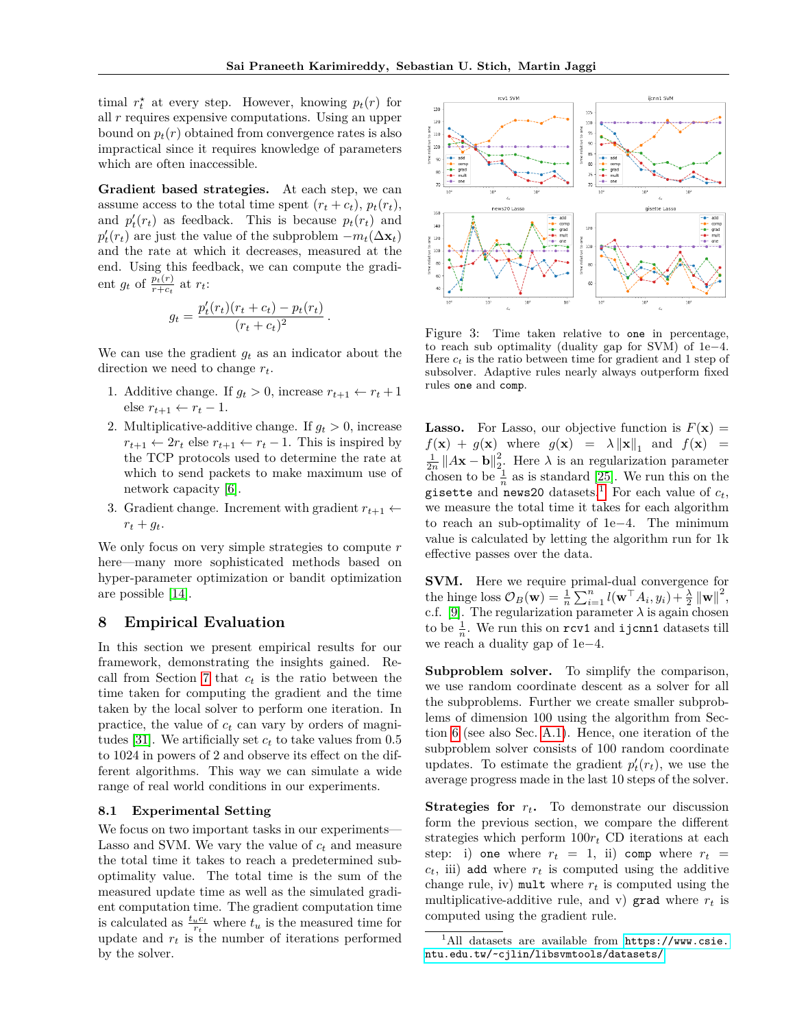timal  $r_t^*$  at every step. However, knowing  $p_t(r)$  for all *r* requires expensive computations. Using an upper bound on  $p_t(r)$  obtained from convergence rates is also impractical since it requires knowledge of parameters which are often inaccessible.

**Gradient based strategies.** At each step, we can assume access to the total time spent  $(r_t + c_t)$ ,  $p_t(r_t)$ , and  $p'_t(r_t)$  as feedback. This is because  $p_t(r_t)$  and  $p'_t(r_t)$  are just the value of the subproblem  $-m_t(\Delta \mathbf{x}_t)$ and the rate at which it decreases, measured at the end. Using this feedback, we can compute the gradient  $g_t$  of  $\frac{p_t(r)}{r+c_t}$  at  $r_t$ :

$$
g_t = \frac{p'_t(r_t)(r_t + c_t) - p_t(r_t)}{(r_t + c_t)^2}.
$$

We can use the gradient  $g_t$  as an indicator about the direction we need to change *rt*.

- 1. Additive change. If  $g_t > 0$ , increase  $r_{t+1} \leftarrow r_t + 1$ else  $r_{t+1}$  ←  $r_t$  − 1.
- 2. Multiplicative-additive change. If  $g_t > 0$ , increase  $r_{t+1} \leftarrow 2r_t$  else  $r_{t+1} \leftarrow r_t - 1$ . This is inspired by the TCP protocols used to determine the rate at which to send packets to make maximum use of network capacity [\[6\]](#page-8-20).
- 3. Gradient change. Increment with gradient  $r_{t+1} \leftarrow$  $r_t + g_t$ .

We only focus on very simple strategies to compute *r* here—many more sophisticated methods based on hyper-parameter optimization or bandit optimization are possible [\[14\]](#page-8-21).

### <span id="page-6-0"></span>**8 Empirical Evaluation**

In this section we present empirical results for our framework, demonstrating the insights gained. Recall from Section [7](#page-4-1) that *c<sup>t</sup>* is the ratio between the time taken for computing the gradient and the time taken by the local solver to perform one iteration. In practice, the value of *c<sup>t</sup>* can vary by orders of magni-tudes [\[31\]](#page-9-4). We artificially set  $c_t$  to take values from 0.5 to 1024 in powers of 2 and observe its effect on the different algorithms. This way we can simulate a wide range of real world conditions in our experiments.

### **8.1 Experimental Setting**

We focus on two important tasks in our experiments— Lasso and SVM. We vary the value of *c<sup>t</sup>* and measure the total time it takes to reach a predetermined suboptimality value. The total time is the sum of the measured update time as well as the simulated gradient computation time. The gradient computation time is calculated as  $\frac{t_u c_t}{r_t}$  where  $t_u$  is the measured time for update and  $r_t$  is the number of iterations performed by the solver.

<span id="page-6-2"></span>

Figure 3: Time taken relative to one in percentage, to reach sub optimality (duality gap for SVM) of 1e−4. Here  $c_t$  is the ratio between time for gradient and 1 step of subsolver. Adaptive rules nearly always outperform fixed rules one and comp.

**Lasso.** For Lasso, our objective function is  $F(\mathbf{x}) =$  $f(\mathbf{x}) + g(\mathbf{x})$  where  $g(\mathbf{x}) = \lambda \|\mathbf{x}\|_1$  and  $f(\mathbf{x}) =$  $\frac{1}{2n}$   $||A**x** – **b**||<sup>2</sup><sub>2</sub>$ . Here  $\lambda$  is an regularization parameter chosen to be  $\frac{1}{n}$  as is standard [\[25\]](#page-8-22). We run this on the gisette and news20 datasets.<sup>[1](#page-6-1)</sup> For each value of  $c_t$ , we measure the total time it takes for each algorithm to reach an sub-optimality of 1e−4. The minimum value is calculated by letting the algorithm run for 1k effective passes over the data.

**SVM.** Here we require primal-dual convergence for the hinge loss  $\mathcal{O}_B(\mathbf{w}) = \frac{1}{n} \sum_{i=1}^n l(\mathbf{w}^\top A_i, y_i) + \frac{\lambda}{2} ||\mathbf{w}||^2$ , c.f. [\[9\]](#page-8-5). The regularization parameter  $\lambda$  is again chosen to be  $\frac{1}{n}$ . We run this on  $\texttt{rcv1}$  and  $\texttt{ijcnn1}$  datasets till we reach a duality gap of 1e−4.

**Subproblem solver.** To simplify the comparison, we use random coordinate descent as a solver for all the subproblems. Further we create smaller subproblems of dimension 100 using the algorithm from Section [6](#page-3-4) (see also Sec. A.1). Hence, one iteration of the subproblem solver consists of 100 random coordinate updates. To estimate the gradient  $p_t'(r_t)$ , we use the average progress made in the last 10 steps of the solver.

**Strategies for**  $r_t$ . To demonstrate our discussion form the previous section, we compare the different strategies which perform  $100r_t$  CD iterations at each step: i) one where  $r_t = 1$ , ii) comp where  $r_t =$  $c_t$ , iii) add where  $r_t$  is computed using the additive change rule, iv) mult where  $r_t$  is computed using the multiplicative-additive rule, and v) grad where  $r_t$  is computed using the gradient rule.

<span id="page-6-1"></span> $1$ All datasets are available from  $https://www.csie.$ [ntu.edu.tw/~cjlin/libsvmtools/datasets/](https://www.csie.ntu.edu.tw/~cjlin/libsvmtools/datasets/)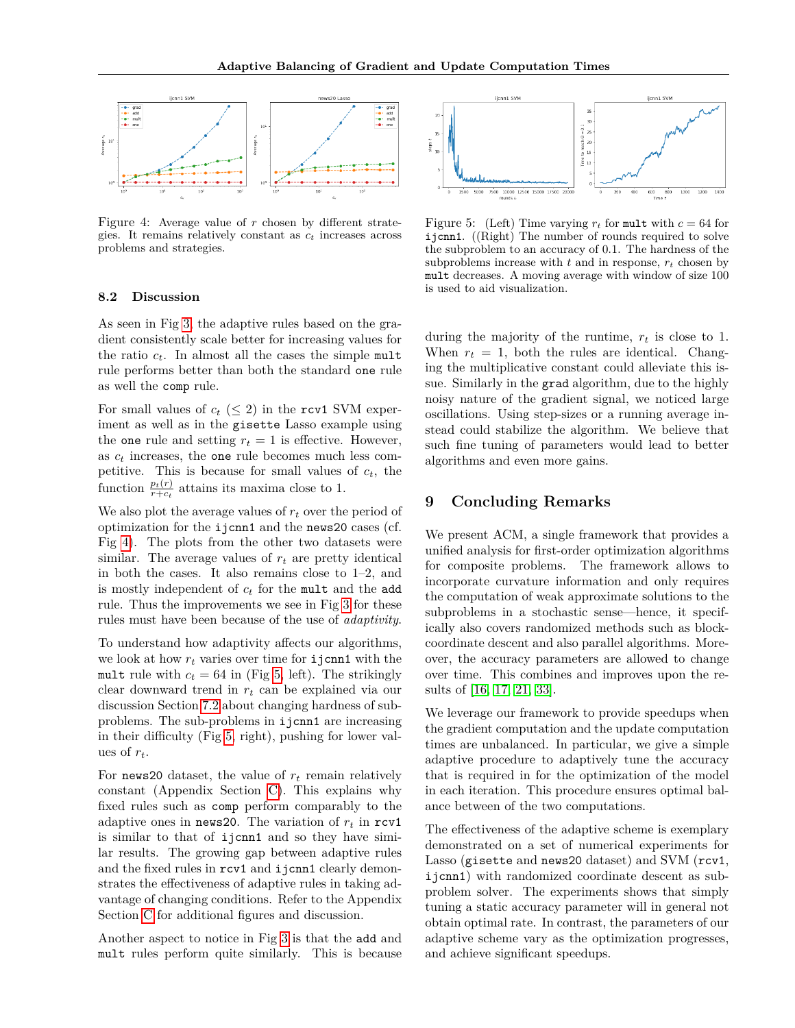<span id="page-7-1"></span>

Figure 4: Average value of *r* chosen by different strategies. It remains relatively constant as *c<sup>t</sup>* increases across problems and strategies.

<span id="page-7-2"></span>

Figure 5: (Left) Time varying  $r_t$  for mult with  $c = 64$  for ijcnn1. ((Right) The number of rounds required to solve the subproblem to an accuracy of 0*.*1. The hardness of the subproblems increase with  $t$  and in response,  $r_t$  chosen by mult decreases. A moving average with window of size 100 is used to aid visualization.

### **8.2 Discussion**

As seen in Fig [3,](#page-6-2) the adaptive rules based on the gradient consistently scale better for increasing values for the ratio  $c_t$ . In almost all the cases the simple mult rule performs better than both the standard one rule as well the comp rule.

For small values of  $c_t$  ( $\leq$  2) in the rcv1 SVM experiment as well as in the gisette Lasso example using the one rule and setting  $r_t = 1$  is effective. However, as *c<sup>t</sup>* increases, the one rule becomes much less competitive. This is because for small values of  $c_t$ , the function  $\frac{p_t(r)}{r+c_t}$  attains its maxima close to 1.

We also plot the average values of  $r_t$  over the period of optimization for the ijcnn1 and the news20 cases (cf. Fig [4\)](#page-7-1). The plots from the other two datasets were similar. The average values of  $r_t$  are pretty identical in both the cases. It also remains close to 1–2, and is mostly independent of *c<sup>t</sup>* for the mult and the add rule. Thus the improvements we see in Fig [3](#page-6-2) for these rules must have been because of the use of *adaptivity*.

To understand how adaptivity affects our algorithms, we look at how  $r_t$  varies over time for **i** jcnn1 with the mult rule with  $c_t = 64$  in (Fig [5,](#page-7-2) left). The strikingly clear downward trend in *r<sup>t</sup>* can be explained via our discussion Section [7.2](#page-5-3) about changing hardness of subproblems. The sub-problems in ijcnn1 are increasing in their difficulty (Fig [5,](#page-7-2) right), pushing for lower values of  $r_t$ .

For news20 dataset, the value of  $r_t$  remain relatively constant (Appendix Section C). This explains why fixed rules such as comp perform comparably to the adaptive ones in news20. The variation of  $r_t$  in  $rcv1$ is similar to that of ijcnn1 and so they have similar results. The growing gap between adaptive rules and the fixed rules in rcv1 and ijcnn1 clearly demonstrates the effectiveness of adaptive rules in taking advantage of changing conditions. Refer to the Appendix Section C for additional figures and discussion.

Another aspect to notice in Fig [3](#page-6-2) is that the add and mult rules perform quite similarly. This is because

during the majority of the runtime, *r<sup>t</sup>* is close to 1. When  $r_t = 1$ , both the rules are identical. Changing the multiplicative constant could alleviate this issue. Similarly in the grad algorithm, due to the highly noisy nature of the gradient signal, we noticed large oscillations. Using step-sizes or a running average instead could stabilize the algorithm. We believe that such fine tuning of parameters would lead to better algorithms and even more gains.

# <span id="page-7-0"></span>**9 Concluding Remarks**

We present ACM, a single framework that provides a unified analysis for first-order optimization algorithms for composite problems. The framework allows to incorporate curvature information and only requires the computation of weak approximate solutions to the subproblems in a stochastic sense—hence, it specifically also covers randomized methods such as blockcoordinate descent and also parallel algorithms. Moreover, the accuracy parameters are allowed to change over time. This combines and improves upon the results of [\[16,](#page-8-10) [17,](#page-8-17) [21,](#page-8-16) [33\]](#page-9-5).

We leverage our framework to provide speedups when the gradient computation and the update computation times are unbalanced. In particular, we give a simple adaptive procedure to adaptively tune the accuracy that is required in for the optimization of the model in each iteration. This procedure ensures optimal balance between of the two computations.

The effectiveness of the adaptive scheme is exemplary demonstrated on a set of numerical experiments for Lasso (gisette and news20 dataset) and SVM (rcv1, ijcnn1) with randomized coordinate descent as subproblem solver. The experiments shows that simply tuning a static accuracy parameter will in general not obtain optimal rate. In contrast, the parameters of our adaptive scheme vary as the optimization progresses, and achieve significant speedups.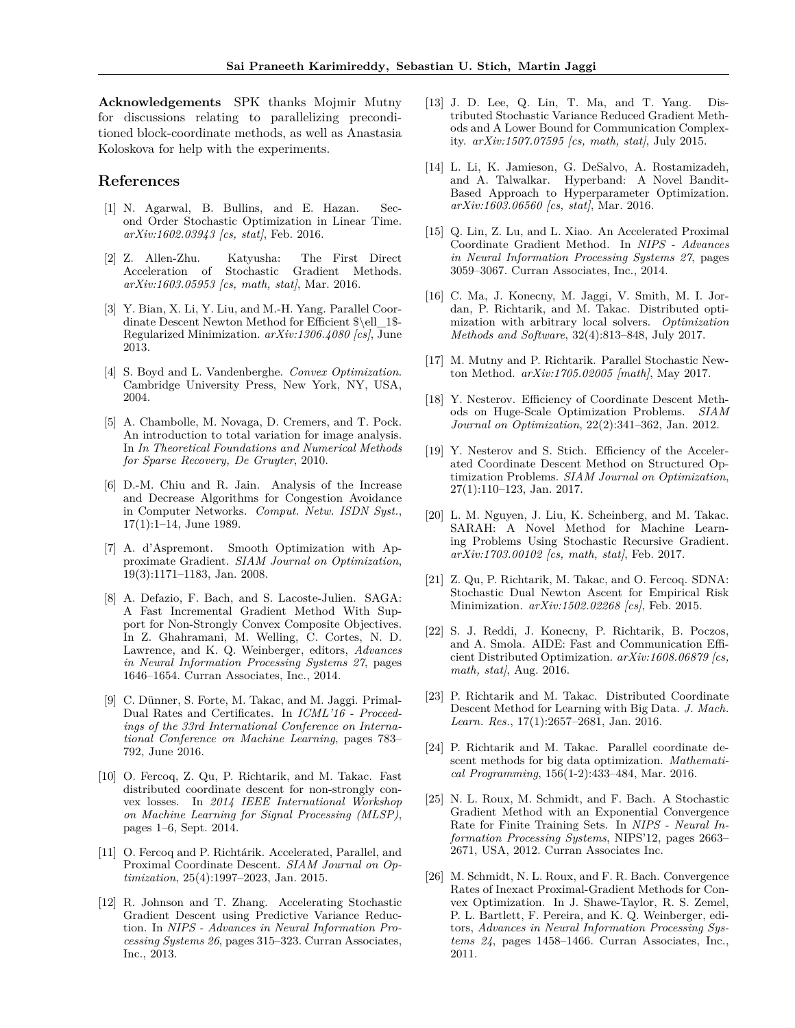**Acknowledgements** SPK thanks Mojmir Mutny for discussions relating to parallelizing preconditioned block-coordinate methods, as well as Anastasia Koloskova for help with the experiments.

### **References**

- [1] N. Agarwal, B. Bullins, and E. Hazan. Second Order Stochastic Optimization in Linear Time. *arXiv:1602.03943 [cs, stat]*, Feb. 2016.
- <span id="page-8-0"></span>[2] Z. Allen-Zhu. Katyusha: The First Direct Acceleration of Stochastic *arXiv:1603.05953 [cs, math, stat]*, Mar. 2016.
- <span id="page-8-19"></span>[3] Y. Bian, X. Li, Y. Liu, and M.-H. Yang. Parallel Coordinate Descent Newton Method for Efficient \$\ell\_1\$- Regularized Minimization. *arXiv:1306.4080 [cs]*, June 2013.
- [4] S. Boyd and L. Vandenberghe. *Convex Optimization*. Cambridge University Press, New York, NY, USA, 2004.
- <span id="page-8-18"></span>[5] A. Chambolle, M. Novaga, D. Cremers, and T. Pock. An introduction to total variation for image analysis. In *In Theoretical Foundations and Numerical Methods for Sparse Recovery, De Gruyter*, 2010.
- <span id="page-8-20"></span>[6] D.-M. Chiu and R. Jain. Analysis of the Increase and Decrease Algorithms for Congestion Avoidance in Computer Networks. *Comput. Netw. ISDN Syst.*, 17(1):1–14, June 1989.
- <span id="page-8-14"></span>[7] A. d'Aspremont. Smooth Optimization with Approximate Gradient. *SIAM Journal on Optimization*, 19(3):1171–1183, Jan. 2008.
- <span id="page-8-1"></span>[8] A. Defazio, F. Bach, and S. Lacoste-Julien. SAGA: A Fast Incremental Gradient Method With Support for Non-Strongly Convex Composite Objectives. In Z. Ghahramani, M. Welling, C. Cortes, N. D. Lawrence, and K. Q. Weinberger, editors, *Advances in Neural Information Processing Systems 27*, pages 1646–1654. Curran Associates, Inc., 2014.
- <span id="page-8-5"></span>[9] C. Dünner, S. Forte, M. Takac, and M. Jaggi. Primal-Dual Rates and Certificates. In *ICML'16 - Proceedings of the 33rd International Conference on International Conference on Machine Learning*, pages 783– 792, June 2016.
- <span id="page-8-11"></span>[10] O. Fercoq, Z. Qu, P. Richtarik, and M. Takac. Fast distributed coordinate descent for non-strongly convex losses. In *2014 IEEE International Workshop on Machine Learning for Signal Processing (MLSP)*, pages 1–6, Sept. 2014.
- <span id="page-8-6"></span>[11] O. Fercoq and P. Richtárik. Accelerated, Parallel, and Proximal Coordinate Descent. *SIAM Journal on Optimization*, 25(4):1997–2023, Jan. 2015.
- <span id="page-8-2"></span>[12] R. Johnson and T. Zhang. Accelerating Stochastic Gradient Descent using Predictive Variance Reduction. In *NIPS - Advances in Neural Information Processing Systems 26*, pages 315–323. Curran Associates, Inc., 2013.
- <span id="page-8-12"></span>[13] J. D. Lee, Q. Lin, T. Ma, and T. Yang. Distributed Stochastic Variance Reduced Gradient Methods and A Lower Bound for Communication Complexity. *arXiv:1507.07595 [cs, math, stat]*, July 2015.
- <span id="page-8-21"></span>[14] L. Li, K. Jamieson, G. DeSalvo, A. Rostamizadeh, and A. Talwalkar. Hyperband: A Novel Bandit-Based Approach to Hyperparameter Optimization. *arXiv:1603.06560 [cs, stat]*, Mar. 2016.
- <span id="page-8-3"></span>[15] Q. Lin, Z. Lu, and L. Xiao. An Accelerated Proximal Coordinate Gradient Method. In *NIPS - Advances in Neural Information Processing Systems 27*, pages 3059–3067. Curran Associates, Inc., 2014.
- <span id="page-8-10"></span>[16] C. Ma, J. Konecny, M. Jaggi, V. Smith, M. I. Jordan, P. Richtarik, and M. Takac. Distributed optimization with arbitrary local solvers. *Optimization Methods and Software*, 32(4):813–848, July 2017.
- <span id="page-8-17"></span>[17] M. Mutny and P. Richtarik. Parallel Stochastic Newton Method. *arXiv:1705.02005 [math]*, May 2017.
- <span id="page-8-7"></span>[18] Y. Nesterov. Efficiency of Coordinate Descent Methods on Huge-Scale Optimization Problems. *SIAM Journal on Optimization*, 22(2):341–362, Jan. 2012.
- <span id="page-8-8"></span>[19] Y. Nesterov and S. Stich. Efficiency of the Accelerated Coordinate Descent Method on Structured Optimization Problems. *SIAM Journal on Optimization*, 27(1):110–123, Jan. 2017.
- <span id="page-8-4"></span>[20] L. M. Nguyen, J. Liu, K. Scheinberg, and M. Takac. SARAH: A Novel Method for Machine Learning Problems Using Stochastic Recursive Gradient. *arXiv:1703.00102 [cs, math, stat]*, Feb. 2017.
- <span id="page-8-16"></span>[21] Z. Qu, P. Richtarik, M. Takac, and O. Fercoq. SDNA: Stochastic Dual Newton Ascent for Empirical Risk Minimization. *arXiv:1502.02268 [cs]*, Feb. 2015.
- <span id="page-8-13"></span>[22] S. J. Reddi, J. Konecny, P. Richtarik, B. Poczos, and A. Smola. AIDE: Fast and Communication Efficient Distributed Optimization. *arXiv:1608.06879 [cs, math, stat]*, Aug. 2016.
- [23] P. Richtarik and M. Takac. Distributed Coordinate Descent Method for Learning with Big Data. *J. Mach. Learn. Res.*, 17(1):2657–2681, Jan. 2016.
- <span id="page-8-9"></span>[24] P. Richtarik and M. Takac. Parallel coordinate descent methods for big data optimization. *Mathematical Programming*, 156(1-2):433–484, Mar. 2016.
- <span id="page-8-22"></span>[25] N. L. Roux, M. Schmidt, and F. Bach. A Stochastic Gradient Method with an Exponential Convergence Rate for Finite Training Sets. In *NIPS - Neural Information Processing Systems*, NIPS'12, pages 2663– 2671, USA, 2012. Curran Associates Inc.
- <span id="page-8-15"></span>[26] M. Schmidt, N. L. Roux, and F. R. Bach. Convergence Rates of Inexact Proximal-Gradient Methods for Convex Optimization. In J. Shawe-Taylor, R. S. Zemel, P. L. Bartlett, F. Pereira, and K. Q. Weinberger, editors, *Advances in Neural Information Processing Systems 24*, pages 1458–1466. Curran Associates, Inc., 2011.